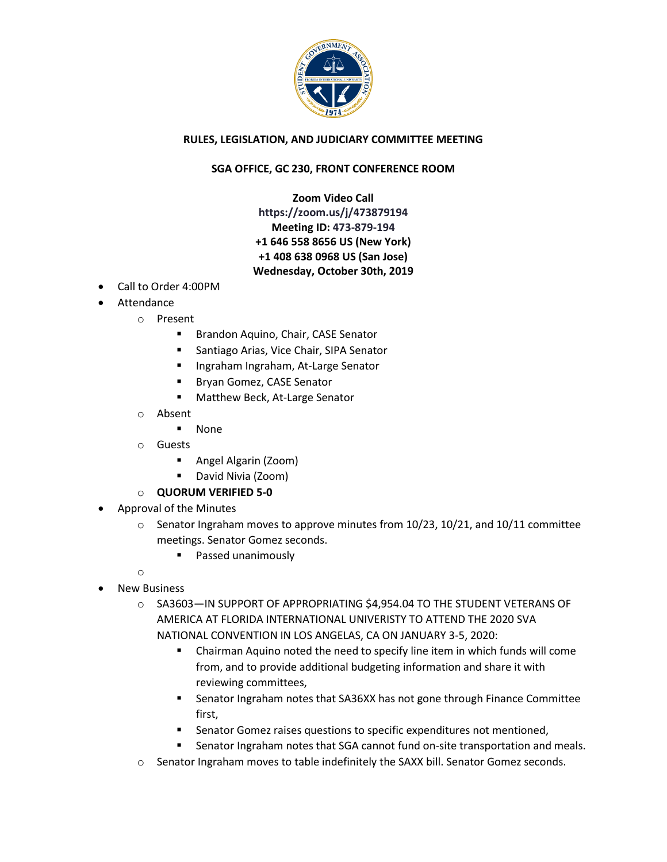

## **RULES, LEGISLATION, AND JUDICIARY COMMITTEE MEETING**

## **SGA OFFICE, GC 230, FRONT CONFERENCE ROOM**

**Zoom Video Call https://zoom.us/j/473879194 Meeting ID: 473-879-194 +1 646 558 8656 US (New York) +1 408 638 0968 US (San Jose) Wednesday, October 30th, 2019**

- Call to Order 4:00PM
- Attendance
	- o Present
		- **Brandon Aquino, Chair, CASE Senator**
		- Santiago Arias, Vice Chair, SIPA Senator
		- **Ingraham Ingraham, At-Large Senator**
		- **Bryan Gomez, CASE Senator**
		- **Matthew Beck, At-Large Senator**
		- o Absent
			- None
		- o Guests
			- Angel Algarin (Zoom)
			- **•** David Nivia (Zoom)
		- o **QUORUM VERIFIED 5-0**
- Approval of the Minutes
	- $\circ$  Senator Ingraham moves to approve minutes from 10/23, 10/21, and 10/11 committee meetings. Senator Gomez seconds.
		- **Passed unanimously**
- o New Business
	- o SA3603—IN SUPPORT OF APPROPRIATING \$4,954.04 TO THE STUDENT VETERANS OF AMERICA AT FLORIDA INTERNATIONAL UNIVERISTY TO ATTEND THE 2020 SVA NATIONAL CONVENTION IN LOS ANGELAS, CA ON JANUARY 3-5, 2020:
		- Chairman Aquino noted the need to specify line item in which funds will come from, and to provide additional budgeting information and share it with reviewing committees,
		- Senator Ingraham notes that SA36XX has not gone through Finance Committee first,
		- **EXECTE:** Senator Gomez raises questions to specific expenditures not mentioned,
		- **Senator Ingraham notes that SGA cannot fund on-site transportation and meals.**
	- o Senator Ingraham moves to table indefinitely the SAXX bill. Senator Gomez seconds.